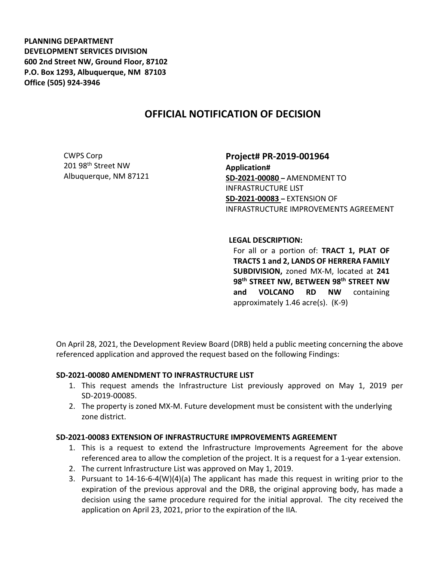**PLANNING DEPARTMENT DEVELOPMENT SERVICES DIVISION 600 2nd Street NW, Ground Floor, 87102 P.O. Box 1293, Albuquerque, NM 87103 Office (505) 924-3946** 

## **OFFICIAL NOTIFICATION OF DECISION**

CWPS Corp 201 98th Street NW Albuquerque, NM 87121 **Project# PR-2019-001964 Application# SD-2021-00080 –** AMENDMENT TO INFRASTRUCTURE LIST **SD-2021-00083 –** EXTENSION OF INFRASTRUCTURE IMPROVEMENTS AGREEMENT

## **LEGAL DESCRIPTION:**

For all or a portion of: **TRACT 1, PLAT OF TRACTS 1 and 2, LANDS OF HERRERA FAMILY SUBDIVISION,** zoned MX-M, located at **241 98th STREET NW, BETWEEN 98th STREET NW and VOLCANO RD NW** containing approximately 1.46 acre(s). (K-9)

On April 28, 2021, the Development Review Board (DRB) held a public meeting concerning the above referenced application and approved the request based on the following Findings:

## **SD-2021-00080 AMENDMENT TO INFRASTRUCTURE LIST**

- 1. This request amends the Infrastructure List previously approved on May 1, 2019 per SD-2019-00085.
- 2. The property is zoned MX-M. Future development must be consistent with the underlying zone district.

## **SD-2021-00083 EXTENSION OF INFRASTRUCTURE IMPROVEMENTS AGREEMENT**

- 1. This is a request to extend the Infrastructure Improvements Agreement for the above referenced area to allow the completion of the project. It is a request for a 1-year extension.
- 2. The current Infrastructure List was approved on May 1, 2019.
- 3. Pursuant to 14-16-6-4(W)(4)(a) The applicant has made this request in writing prior to the expiration of the previous approval and the DRB, the original approving body, has made a decision using the same procedure required for the initial approval. The city received the application on April 23, 2021, prior to the expiration of the IIA.